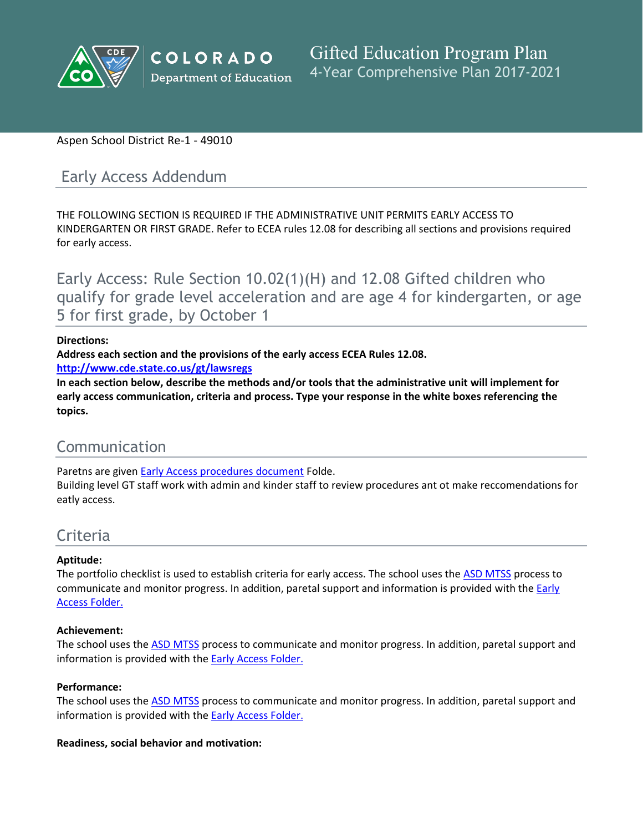

## Aspen School District Re-1 - 49010

# Early Access Addendum

THE FOLLOWING SECTION IS REQUIRED IF THE ADMINISTRATIVE UNIT PERMITS EARLY ACCESS TO KINDERGARTEN OR FIRST GRADE. Refer to ECEA rules 12.08 for describing all sections and provisions required for early access.

Early Access: Rule Section 10.02(1)(H) and 12.08 Gifted children who qualify for grade level acceleration and are age 4 for kindergarten, or age 5 for first grade, by October 1

#### **Directions:**

**Address each section and the provisions of the early access ECEA Rules 12.08.**

**<http://www.cde.state.co.us/gt/lawsregs>**

**In each section below, describe the methods and/or tools that the administrative unit will implement for early access communication, criteria and process. Type your response in the white boxes referencing the topics.**

# Communication

Paretns are given [Early]() [Access]() [procedures]() [document]() Folde.

Building level GT staff work with admin and kinder staff to review procedures ant ot make reccomendations for eatly access.

# Criteria

## **Aptitude:**

The portfolio checklist is used to establish criteria for early access. The school uses the [ASD]() [MTSS]() process to communicate and monitor progress. In addition, paretal support and information is provided with the [Early]() [Access]() [Folder.]()

#### **Achievement:**

The school uses the [ASD]() [MTSS]() process to communicate and monitor progress. In addition, paretal support and information is provided with the **[Early]() [Access]() [Folder.]()** 

#### **Performance:**

The school uses the [ASD]() [MTSS]() process to communicate and monitor progress. In addition, paretal support and information is provided with the [Early]() [Access]() [Folder.]()

#### **Readiness, social behavior and motivation:**